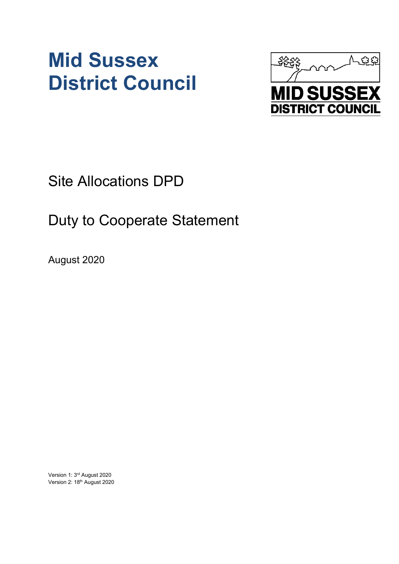# **Mid Sussex District Council**



Site Allocations DPD

## Duty to Cooperate Statement

August 2020

Version 1: 3rd August 2020 Version 2: 18th August 2020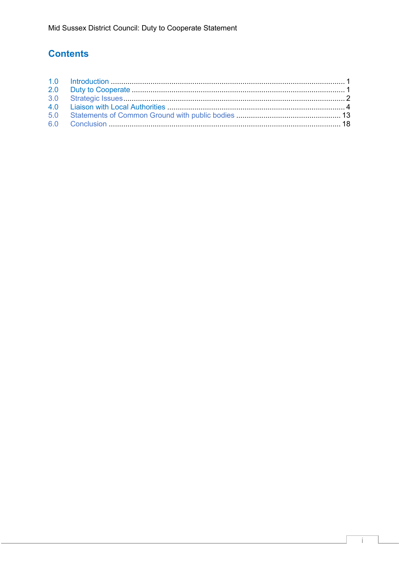## **Contents**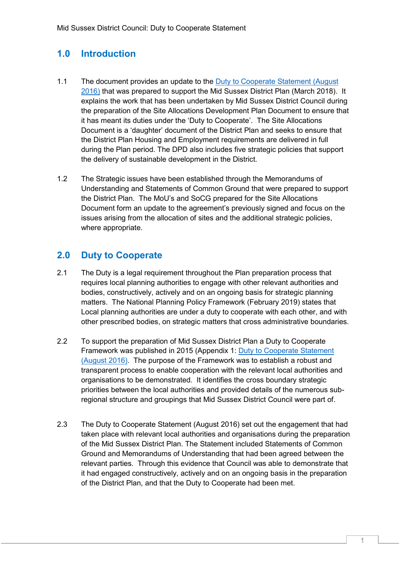## **1.0 Introduction**

- 1.1 The document provides an update to the Duty to Cooperate Statement (August [2016\)](https://www.midsussex.gov.uk/planning-building/development-plan-documents/site-allocations-dpd-evidence-library/) that was prepared to support the Mid Sussex District Plan (March 2018). It explains the work that has been undertaken by Mid Sussex District Council during the preparation of the Site Allocations Development Plan Document to ensure that it has meant its duties under the 'Duty to Cooperate'. The Site Allocations Document is a 'daughter' document of the District Plan and seeks to ensure that the District Plan Housing and Employment requirements are delivered in full during the Plan period. The DPD also includes five strategic policies that support the delivery of sustainable development in the District.
- 1.2 The Strategic issues have been established through the Memorandums of Understanding and Statements of Common Ground that were prepared to support the District Plan. The MoU's and SoCG prepared for the Site Allocations Document form an update to the agreement's previously signed and focus on the issues arising from the allocation of sites and the additional strategic policies, where appropriate.

## **2.0 Duty to Cooperate**

- 2.1 The Duty is a legal requirement throughout the Plan preparation process that requires local planning authorities to engage with other relevant authorities and bodies, constructively, actively and on an ongoing basis for strategic planning matters. The National Planning Policy Framework (February 2019) states that Local planning authorities are under a duty to cooperate with each other, and with other prescribed bodies, on strategic matters that cross administrative boundaries.
- 2.2 To support the preparation of Mid Sussex District Plan a Duty to Cooperate Framework was published in 2015 (Appendix 1: [Duty to Cooperate Statement](https://www.midsussex.gov.uk/planning-building/development-plan-documents/site-allocations-dpd-evidence-library/)  [\(August 2016\).](https://www.midsussex.gov.uk/planning-building/development-plan-documents/site-allocations-dpd-evidence-library/) The purpose of the Framework was to establish a robust and transparent process to enable cooperation with the relevant local authorities and organisations to be demonstrated. It identifies the cross boundary strategic priorities between the local authorities and provided details of the numerous subregional structure and groupings that Mid Sussex District Council were part of.
- 2.3 The Duty to Cooperate Statement (August 2016) set out the engagement that had taken place with relevant local authorities and organisations during the preparation of the Mid Sussex District Plan. The Statement included Statements of Common Ground and Memorandums of Understanding that had been agreed between the relevant parties. Through this evidence that Council was able to demonstrate that it had engaged constructively, actively and on an ongoing basis in the preparation of the District Plan, and that the Duty to Cooperate had been met.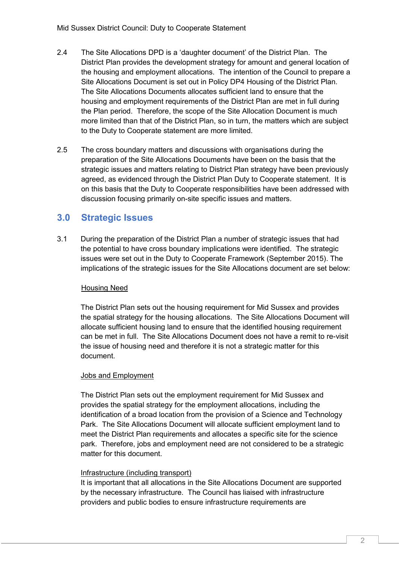- 2.4 The Site Allocations DPD is a 'daughter document' of the District Plan. The District Plan provides the development strategy for amount and general location of the housing and employment allocations. The intention of the Council to prepare a Site Allocations Document is set out in Policy DP4 Housing of the District Plan. The Site Allocations Documents allocates sufficient land to ensure that the housing and employment requirements of the District Plan are met in full during the Plan period. Therefore, the scope of the Site Allocation Document is much more limited than that of the District Plan, so in turn, the matters which are subject to the Duty to Cooperate statement are more limited.
- 2.5 The cross boundary matters and discussions with organisations during the preparation of the Site Allocations Documents have been on the basis that the strategic issues and matters relating to District Plan strategy have been previously agreed, as evidenced through the District Plan Duty to Cooperate statement. It is on this basis that the Duty to Cooperate responsibilities have been addressed with discussion focusing primarily on-site specific issues and matters.

## **3.0 Strategic Issues**

3.1 During the preparation of the District Plan a number of strategic issues that had the potential to have cross boundary implications were identified. The strategic issues were set out in the Duty to Cooperate Framework (September 2015). The implications of the strategic issues for the Site Allocations document are set below:

#### Housing Need

The District Plan sets out the housing requirement for Mid Sussex and provides the spatial strategy for the housing allocations. The Site Allocations Document will allocate sufficient housing land to ensure that the identified housing requirement can be met in full. The Site Allocations Document does not have a remit to re-visit the issue of housing need and therefore it is not a strategic matter for this document.

#### Jobs and Employment

The District Plan sets out the employment requirement for Mid Sussex and provides the spatial strategy for the employment allocations, including the identification of a broad location from the provision of a Science and Technology Park. The Site Allocations Document will allocate sufficient employment land to meet the District Plan requirements and allocates a specific site for the science park. Therefore, jobs and employment need are not considered to be a strategic matter for this document.

#### Infrastructure (including transport)

It is important that all allocations in the Site Allocations Document are supported by the necessary infrastructure. The Council has liaised with infrastructure providers and public bodies to ensure infrastructure requirements are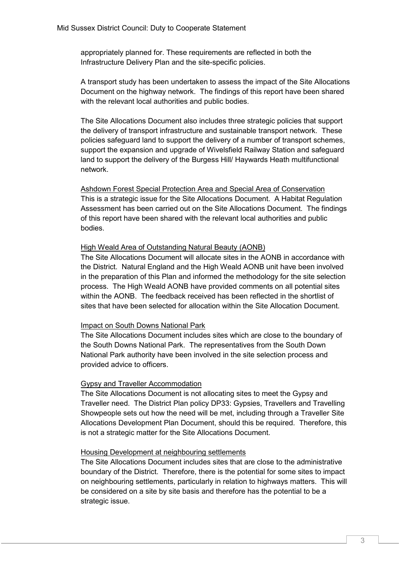appropriately planned for. These requirements are reflected in both the Infrastructure Delivery Plan and the site-specific policies.

A transport study has been undertaken to assess the impact of the Site Allocations Document on the highway network. The findings of this report have been shared with the relevant local authorities and public bodies.

The Site Allocations Document also includes three strategic policies that support the delivery of transport infrastructure and sustainable transport network. These policies safeguard land to support the delivery of a number of transport schemes, support the expansion and upgrade of Wivelsfield Railway Station and safeguard land to support the delivery of the Burgess Hill/ Haywards Heath multifunctional network.

Ashdown Forest Special Protection Area and Special Area of Conservation This is a strategic issue for the Site Allocations Document. A Habitat Regulation Assessment has been carried out on the Site Allocations Document. The findings of this report have been shared with the relevant local authorities and public bodies.

#### High Weald Area of Outstanding Natural Beauty (AONB)

The Site Allocations Document will allocate sites in the AONB in accordance with the District. Natural England and the High Weald AONB unit have been involved in the preparation of this Plan and informed the methodology for the site selection process. The High Weald AONB have provided comments on all potential sites within the AONB. The feedback received has been reflected in the shortlist of sites that have been selected for allocation within the Site Allocation Document

#### Impact on South Downs National Park

The Site Allocations Document includes sites which are close to the boundary of the South Downs National Park. The representatives from the South Down National Park authority have been involved in the site selection process and provided advice to officers.

#### Gypsy and Traveller Accommodation

The Site Allocations Document is not allocating sites to meet the Gypsy and Traveller need. The District Plan policy DP33: Gypsies, Travellers and Travelling Showpeople sets out how the need will be met, including through a Traveller Site Allocations Development Plan Document, should this be required. Therefore, this is not a strategic matter for the Site Allocations Document.

#### Housing Development at neighbouring settlements

The Site Allocations Document includes sites that are close to the administrative boundary of the District. Therefore, there is the potential for some sites to impact on neighbouring settlements, particularly in relation to highways matters. This will be considered on a site by site basis and therefore has the potential to be a strategic issue.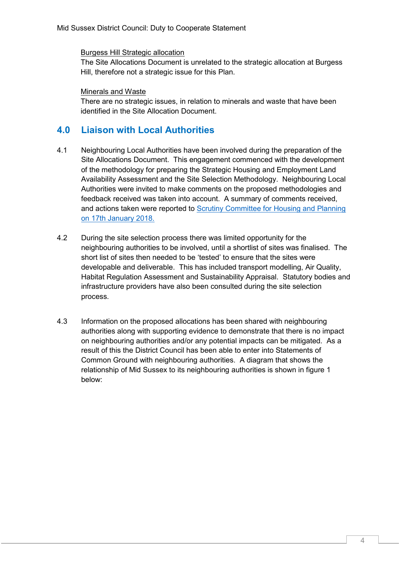Burgess Hill Strategic allocation

The Site Allocations Document is unrelated to the strategic allocation at Burgess Hill, therefore not a strategic issue for this Plan.

#### Minerals and Waste

There are no strategic issues, in relation to minerals and waste that have been identified in the Site Allocation Document.

### **4.0 Liaison with Local Authorities**

- 4.1 Neighbouring Local Authorities have been involved during the preparation of the Site Allocations Document. This engagement commenced with the development of the methodology for preparing the Strategic Housing and Employment Land Availability Assessment and the Site Selection Methodology. Neighbouring Local Authorities were invited to make comments on the proposed methodologies and feedback received was taken into account. A summary of comments received, and actions taken were reported to [Scrutiny Committee for Housing and Planning](http://midsussex.moderngov.co.uk/Data/Scrutiny%20Committee%20for%20Community,%20Housing%20and%20Planning/201801171900/Agenda/1Mk6biNpI3xECKN70MdJghkGgmtZsw.pdf)  [on 17th January 2018.](http://midsussex.moderngov.co.uk/Data/Scrutiny%20Committee%20for%20Community,%20Housing%20and%20Planning/201801171900/Agenda/1Mk6biNpI3xECKN70MdJghkGgmtZsw.pdf)
- 4.2 During the site selection process there was limited opportunity for the neighbouring authorities to be involved, until a shortlist of sites was finalised. The short list of sites then needed to be 'tested' to ensure that the sites were developable and deliverable. This has included transport modelling, Air Quality, Habitat Regulation Assessment and Sustainability Appraisal. Statutory bodies and infrastructure providers have also been consulted during the site selection process.
- 4.3 Information on the proposed allocations has been shared with neighbouring authorities along with supporting evidence to demonstrate that there is no impact on neighbouring authorities and/or any potential impacts can be mitigated. As a result of this the District Council has been able to enter into Statements of Common Ground with neighbouring authorities. A diagram that shows the relationship of Mid Sussex to its neighbouring authorities is shown in figure 1 below: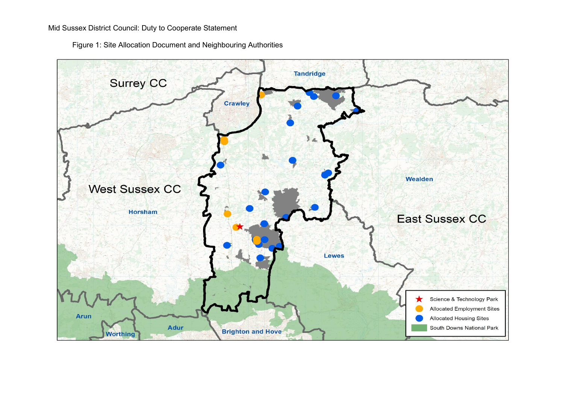Figure 1: Site Allocation Document and Neighbouring Authorities

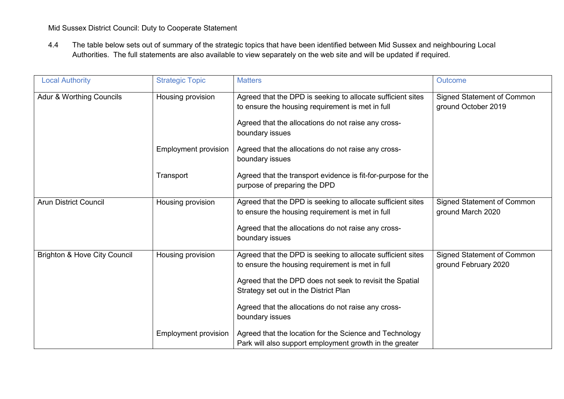4.4 The table below sets out of summary of the strategic topics that have been identified between Mid Sussex and neighbouring Local Authorities. The full statements are also available to view separately on the web site and will be updated if required.

| <b>Local Authority</b>                  | <b>Strategic Topic</b>      | <b>Matters</b>                                                                                                                                                                                                                                                                                 | Outcome                                                   |
|-----------------------------------------|-----------------------------|------------------------------------------------------------------------------------------------------------------------------------------------------------------------------------------------------------------------------------------------------------------------------------------------|-----------------------------------------------------------|
| Adur & Worthing Councils                | Housing provision           | Agreed that the DPD is seeking to allocate sufficient sites<br>to ensure the housing requirement is met in full<br>Agreed that the allocations do not raise any cross-<br>boundary issues                                                                                                      | <b>Signed Statement of Common</b><br>ground October 2019  |
|                                         | Employment provision        | Agreed that the allocations do not raise any cross-<br>boundary issues                                                                                                                                                                                                                         |                                                           |
|                                         | Transport                   | Agreed that the transport evidence is fit-for-purpose for the<br>purpose of preparing the DPD                                                                                                                                                                                                  |                                                           |
| <b>Arun District Council</b>            | Housing provision           | Agreed that the DPD is seeking to allocate sufficient sites<br>to ensure the housing requirement is met in full<br>Agreed that the allocations do not raise any cross-<br>boundary issues                                                                                                      | <b>Signed Statement of Common</b><br>ground March 2020    |
| <b>Brighton &amp; Hove City Council</b> | Housing provision           | Agreed that the DPD is seeking to allocate sufficient sites<br>to ensure the housing requirement is met in full<br>Agreed that the DPD does not seek to revisit the Spatial<br>Strategy set out in the District Plan<br>Agreed that the allocations do not raise any cross-<br>boundary issues | <b>Signed Statement of Common</b><br>ground February 2020 |
|                                         | <b>Employment provision</b> | Agreed that the location for the Science and Technology<br>Park will also support employment growth in the greater                                                                                                                                                                             |                                                           |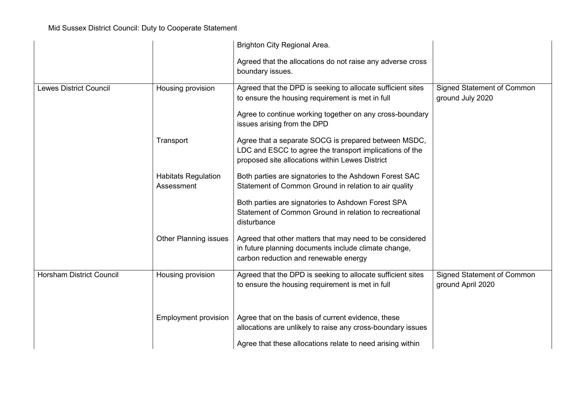|                                 |                                          | Brighton City Regional Area.                                                                                                                                       |                                                        |
|---------------------------------|------------------------------------------|--------------------------------------------------------------------------------------------------------------------------------------------------------------------|--------------------------------------------------------|
|                                 |                                          | Agreed that the allocations do not raise any adverse cross<br>boundary issues.                                                                                     |                                                        |
| <b>Lewes District Council</b>   | Housing provision                        | Agreed that the DPD is seeking to allocate sufficient sites<br>to ensure the housing requirement is met in full                                                    | <b>Signed Statement of Common</b><br>ground July 2020  |
|                                 |                                          | Agree to continue working together on any cross-boundary<br>issues arising from the DPD                                                                            |                                                        |
|                                 | Transport                                | Agree that a separate SOCG is prepared between MSDC,<br>LDC and ESCC to agree the transport implications of the<br>proposed site allocations within Lewes District |                                                        |
|                                 | <b>Habitats Regulation</b><br>Assessment | Both parties are signatories to the Ashdown Forest SAC<br>Statement of Common Ground in relation to air quality                                                    |                                                        |
|                                 |                                          | Both parties are signatories to Ashdown Forest SPA<br>Statement of Common Ground in relation to recreational<br>disturbance                                        |                                                        |
|                                 | <b>Other Planning issues</b>             | Agreed that other matters that may need to be considered<br>in future planning documents include climate change,<br>carbon reduction and renewable energy          |                                                        |
| <b>Horsham District Council</b> | Housing provision                        | Agreed that the DPD is seeking to allocate sufficient sites<br>to ensure the housing requirement is met in full                                                    | <b>Signed Statement of Common</b><br>ground April 2020 |
|                                 | <b>Employment provision</b>              | Agree that on the basis of current evidence, these<br>allocations are unlikely to raise any cross-boundary issues                                                  |                                                        |
|                                 |                                          | Agree that these allocations relate to need arising within                                                                                                         |                                                        |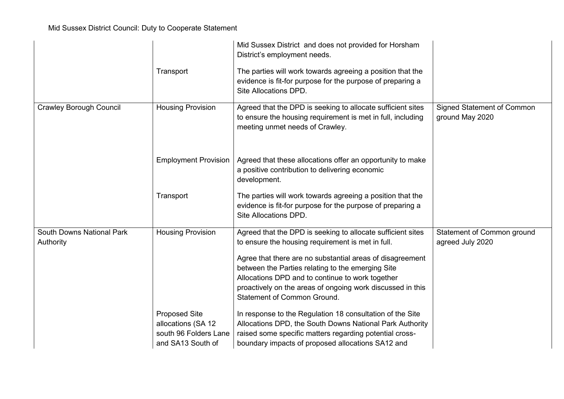|                                        | Transport                                                                                | Mid Sussex District and does not provided for Horsham<br>District's employment needs.<br>The parties will work towards agreeing a position that the<br>evidence is fit-for purpose for the purpose of preparing a<br>Site Allocations DPD.                                                                                                                                                 |                                                      |
|----------------------------------------|------------------------------------------------------------------------------------------|--------------------------------------------------------------------------------------------------------------------------------------------------------------------------------------------------------------------------------------------------------------------------------------------------------------------------------------------------------------------------------------------|------------------------------------------------------|
| <b>Crawley Borough Council</b>         | <b>Housing Provision</b>                                                                 | Agreed that the DPD is seeking to allocate sufficient sites<br>to ensure the housing requirement is met in full, including<br>meeting unmet needs of Crawley.                                                                                                                                                                                                                              | <b>Signed Statement of Common</b><br>ground May 2020 |
|                                        | <b>Employment Provision</b>                                                              | Agreed that these allocations offer an opportunity to make<br>a positive contribution to delivering economic<br>development.                                                                                                                                                                                                                                                               |                                                      |
|                                        | Transport                                                                                | The parties will work towards agreeing a position that the<br>evidence is fit-for purpose for the purpose of preparing a<br>Site Allocations DPD.                                                                                                                                                                                                                                          |                                                      |
| South Downs National Park<br>Authority | <b>Housing Provision</b>                                                                 | Agreed that the DPD is seeking to allocate sufficient sites<br>to ensure the housing requirement is met in full.<br>Agree that there are no substantial areas of disagreement<br>between the Parties relating to the emerging Site<br>Allocations DPD and to continue to work together<br>proactively on the areas of ongoing work discussed in this<br><b>Statement of Common Ground.</b> | Statement of Common ground<br>agreed July 2020       |
|                                        | <b>Proposed Site</b><br>allocations (SA 12<br>south 96 Folders Lane<br>and SA13 South of | In response to the Regulation 18 consultation of the Site<br>Allocations DPD, the South Downs National Park Authority<br>raised some specific matters regarding potential cross-<br>boundary impacts of proposed allocations SA12 and                                                                                                                                                      |                                                      |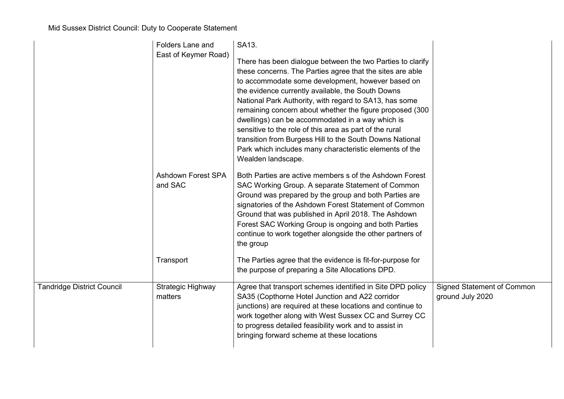|                                   | Folders Lane and<br>East of Keymer Road)          | SA13.<br>There has been dialogue between the two Parties to clarify<br>these concerns. The Parties agree that the sites are able<br>to accommodate some development, however based on<br>the evidence currently available, the South Downs<br>National Park Authority, with regard to SA13, has some<br>remaining concern about whether the figure proposed (300<br>dwellings) can be accommodated in a way which is<br>sensitive to the role of this area as part of the rural<br>transition from Burgess Hill to the South Downs National<br>Park which includes many characteristic elements of the<br>Wealden landscape. |                                                       |
|-----------------------------------|---------------------------------------------------|------------------------------------------------------------------------------------------------------------------------------------------------------------------------------------------------------------------------------------------------------------------------------------------------------------------------------------------------------------------------------------------------------------------------------------------------------------------------------------------------------------------------------------------------------------------------------------------------------------------------------|-------------------------------------------------------|
|                                   | <b>Ashdown Forest SPA</b><br>and SAC<br>Transport | Both Parties are active members s of the Ashdown Forest<br>SAC Working Group. A separate Statement of Common<br>Ground was prepared by the group and both Parties are<br>signatories of the Ashdown Forest Statement of Common<br>Ground that was published in April 2018. The Ashdown<br>Forest SAC Working Group is ongoing and both Parties<br>continue to work together alongside the other partners of<br>the group<br>The Parties agree that the evidence is fit-for-purpose for                                                                                                                                       |                                                       |
|                                   |                                                   | the purpose of preparing a Site Allocations DPD.                                                                                                                                                                                                                                                                                                                                                                                                                                                                                                                                                                             |                                                       |
| <b>Tandridge District Council</b> | Strategic Highway<br>matters                      | Agree that transport schemes identified in Site DPD policy<br>SA35 (Copthorne Hotel Junction and A22 corridor<br>junctions) are required at these locations and continue to<br>work together along with West Sussex CC and Surrey CC<br>to progress detailed feasibility work and to assist in<br>bringing forward scheme at these locations                                                                                                                                                                                                                                                                                 | <b>Signed Statement of Common</b><br>ground July 2020 |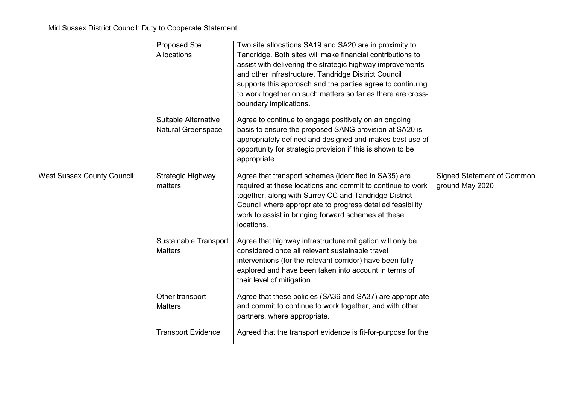|                                   | Proposed Ste<br>Allocations                       | Two site allocations SA19 and SA20 are in proximity to<br>Tandridge. Both sites will make financial contributions to<br>assist with delivering the strategic highway improvements<br>and other infrastructure. Tandridge District Council<br>supports this approach and the parties agree to continuing<br>to work together on such matters so far as there are cross-<br>boundary implications. |                                                      |
|-----------------------------------|---------------------------------------------------|--------------------------------------------------------------------------------------------------------------------------------------------------------------------------------------------------------------------------------------------------------------------------------------------------------------------------------------------------------------------------------------------------|------------------------------------------------------|
|                                   | Suitable Alternative<br><b>Natural Greenspace</b> | Agree to continue to engage positively on an ongoing<br>basis to ensure the proposed SANG provision at SA20 is<br>appropriately defined and designed and makes best use of<br>opportunity for strategic provision if this is shown to be<br>appropriate.                                                                                                                                         |                                                      |
| <b>West Sussex County Council</b> | Strategic Highway<br>matters                      | Agree that transport schemes (identified in SA35) are<br>required at these locations and commit to continue to work<br>together, along with Surrey CC and Tandridge District<br>Council where appropriate to progress detailed feasibility<br>work to assist in bringing forward schemes at these<br>locations.                                                                                  | <b>Signed Statement of Common</b><br>ground May 2020 |
|                                   | <b>Sustainable Transport</b><br><b>Matters</b>    | Agree that highway infrastructure mitigation will only be<br>considered once all relevant sustainable travel<br>interventions (for the relevant corridor) have been fully<br>explored and have been taken into account in terms of<br>their level of mitigation.                                                                                                                                 |                                                      |
|                                   | Other transport<br><b>Matters</b>                 | Agree that these policies (SA36 and SA37) are appropriate<br>and commit to continue to work together, and with other<br>partners, where appropriate.                                                                                                                                                                                                                                             |                                                      |
|                                   | <b>Transport Evidence</b>                         | Agreed that the transport evidence is fit-for-purpose for the                                                                                                                                                                                                                                                                                                                                    |                                                      |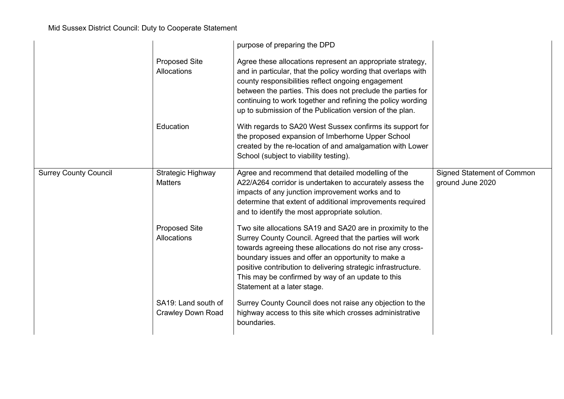|                              |                                                 | purpose of preparing the DPD                                                                                                                                                                                                                                                                                                                                                                   |                                                       |
|------------------------------|-------------------------------------------------|------------------------------------------------------------------------------------------------------------------------------------------------------------------------------------------------------------------------------------------------------------------------------------------------------------------------------------------------------------------------------------------------|-------------------------------------------------------|
|                              | <b>Proposed Site</b><br>Allocations             | Agree these allocations represent an appropriate strategy,<br>and in particular, that the policy wording that overlaps with<br>county responsibilities reflect ongoing engagement<br>between the parties. This does not preclude the parties for<br>continuing to work together and refining the policy wording<br>up to submission of the Publication version of the plan.                    |                                                       |
|                              | Education                                       | With regards to SA20 West Sussex confirms its support for<br>the proposed expansion of Imberhorne Upper School<br>created by the re-location of and amalgamation with Lower<br>School (subject to viability testing).                                                                                                                                                                          |                                                       |
| <b>Surrey County Council</b> | Strategic Highway<br><b>Matters</b>             | Agree and recommend that detailed modelling of the<br>A22/A264 corridor is undertaken to accurately assess the<br>impacts of any junction improvement works and to<br>determine that extent of additional improvements required<br>and to identify the most appropriate solution.                                                                                                              | <b>Signed Statement of Common</b><br>ground June 2020 |
|                              | <b>Proposed Site</b><br>Allocations             | Two site allocations SA19 and SA20 are in proximity to the<br>Surrey County Council. Agreed that the parties will work<br>towards agreeing these allocations do not rise any cross-<br>boundary issues and offer an opportunity to make a<br>positive contribution to delivering strategic infrastructure.<br>This may be confirmed by way of an update to this<br>Statement at a later stage. |                                                       |
|                              | SA19: Land south of<br><b>Crawley Down Road</b> | Surrey County Council does not raise any objection to the<br>highway access to this site which crosses administrative<br>boundaries.                                                                                                                                                                                                                                                           |                                                       |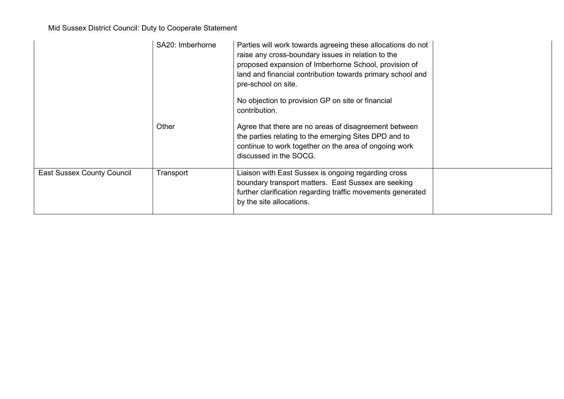|                                   | SA20: Imberhorne | Parties will work towards agreeing these allocations do not<br>raise any cross-boundary issues in relation to the<br>proposed expansion of Imberhorne School, provision of<br>land and financial contribution towards primary school and<br>pre-school on site.<br>No objection to provision GP on site or financial<br>contribution. |  |
|-----------------------------------|------------------|---------------------------------------------------------------------------------------------------------------------------------------------------------------------------------------------------------------------------------------------------------------------------------------------------------------------------------------|--|
|                                   | Other            | Agree that there are no areas of disagreement between<br>the parties relating to the emerging Sites DPD and to<br>continue to work together on the area of ongoing work<br>discussed in the SOCG.                                                                                                                                     |  |
| <b>East Sussex County Council</b> | Transport        | Liaison with East Sussex is ongoing regarding cross<br>boundary transport matters. East Sussex are seeking<br>further clarification regarding traffic movements generated<br>by the site allocations.                                                                                                                                 |  |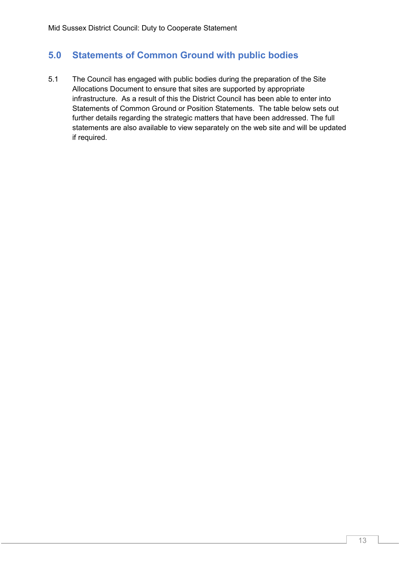## **5.0 Statements of Common Ground with public bodies**

5.1 The Council has engaged with public bodies during the preparation of the Site Allocations Document to ensure that sites are supported by appropriate infrastructure. As a result of this the District Council has been able to enter into Statements of Common Ground or Position Statements. The table below sets out further details regarding the strategic matters that have been addressed. The full statements are also available to view separately on the web site and will be updated if required.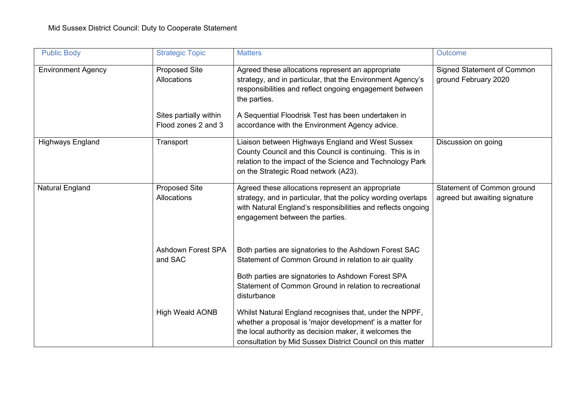| <b>Public Body</b>        | <b>Strategic Topic</b>                                                               | <b>Matters</b>                                                                                                                                                                                                                                                                                     | <b>Outcome</b>                                              |
|---------------------------|--------------------------------------------------------------------------------------|----------------------------------------------------------------------------------------------------------------------------------------------------------------------------------------------------------------------------------------------------------------------------------------------------|-------------------------------------------------------------|
| <b>Environment Agency</b> | <b>Proposed Site</b><br>Allocations<br>Sites partially within<br>Flood zones 2 and 3 | Agreed these allocations represent an appropriate<br>strategy, and in particular, that the Environment Agency's<br>responsibilities and reflect ongoing engagement between<br>the parties.<br>A Sequential Floodrisk Test has been undertaken in<br>accordance with the Environment Agency advice. | <b>Signed Statement of Common</b><br>ground February 2020   |
| <b>Highways England</b>   | Transport                                                                            | Liaison between Highways England and West Sussex<br>County Council and this Council is continuing. This is in<br>relation to the impact of the Science and Technology Park<br>on the Strategic Road network (A23).                                                                                 | Discussion on going                                         |
| <b>Natural England</b>    | <b>Proposed Site</b><br>Allocations                                                  | Agreed these allocations represent an appropriate<br>strategy, and in particular, that the policy wording overlaps<br>with Natural England's responsibilities and reflects ongoing<br>engagement between the parties.                                                                              | Statement of Common ground<br>agreed but awaiting signature |
|                           | <b>Ashdown Forest SPA</b><br>and SAC                                                 | Both parties are signatories to the Ashdown Forest SAC<br>Statement of Common Ground in relation to air quality<br>Both parties are signatories to Ashdown Forest SPA<br>Statement of Common Ground in relation to recreational<br>disturbance                                                     |                                                             |
|                           | <b>High Weald AONB</b>                                                               | Whilst Natural England recognises that, under the NPPF,<br>whether a proposal is 'major development' is a matter for<br>the local authority as decision maker, it welcomes the<br>consultation by Mid Sussex District Council on this matter                                                       |                                                             |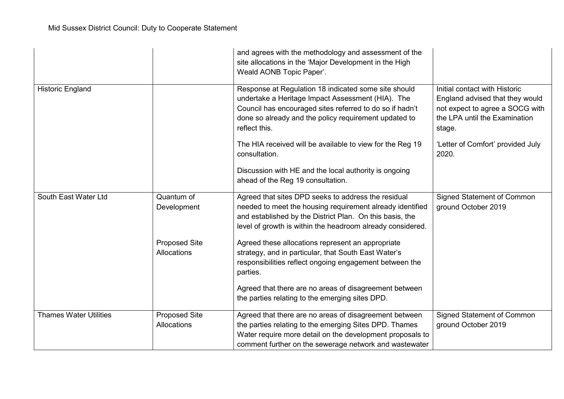|                               |                                     | and agrees with the methodology and assessment of the<br>site allocations in the 'Major Development in the High<br>Weald AONB Topic Paper'.                                                                                                     |                                                                                                                                                |
|-------------------------------|-------------------------------------|-------------------------------------------------------------------------------------------------------------------------------------------------------------------------------------------------------------------------------------------------|------------------------------------------------------------------------------------------------------------------------------------------------|
| <b>Historic England</b>       |                                     | Response at Regulation 18 indicated some site should<br>undertake a Heritage Impact Assessment (HIA). The<br>Council has encouraged sites referred to do so if hadn't<br>done so already and the policy requirement updated to<br>reflect this. | Initial contact with Historic<br>England advised that they would<br>not expect to agree a SOCG with<br>the LPA until the Examination<br>stage. |
|                               |                                     | The HIA received will be available to view for the Reg 19<br>consultation.                                                                                                                                                                      | 'Letter of Comfort' provided July<br>2020.                                                                                                     |
|                               |                                     | Discussion with HE and the local authority is ongoing<br>ahead of the Reg 19 consultation.                                                                                                                                                      |                                                                                                                                                |
| South East Water Ltd          | Quantum of<br>Development           | Agreed that sites DPD seeks to address the residual<br>needed to meet the housing requirement already identified<br>and established by the District Plan. On this basis, the<br>level of growth is within the headroom already considered.      | <b>Signed Statement of Common</b><br>ground October 2019                                                                                       |
|                               | <b>Proposed Site</b><br>Allocations | Agreed these allocations represent an appropriate<br>strategy, and in particular, that South East Water's<br>responsibilities reflect ongoing engagement between the<br>parties.                                                                |                                                                                                                                                |
|                               |                                     | Agreed that there are no areas of disagreement between<br>the parties relating to the emerging sites DPD.                                                                                                                                       |                                                                                                                                                |
| <b>Thames Water Utilities</b> | <b>Proposed Site</b><br>Allocations | Agreed that there are no areas of disagreement between<br>the parties relating to the emerging Sites DPD. Thames<br>Water require more detail on the development proposals to<br>comment further on the sewerage network and wastewater         | <b>Signed Statement of Common</b><br>ground October 2019                                                                                       |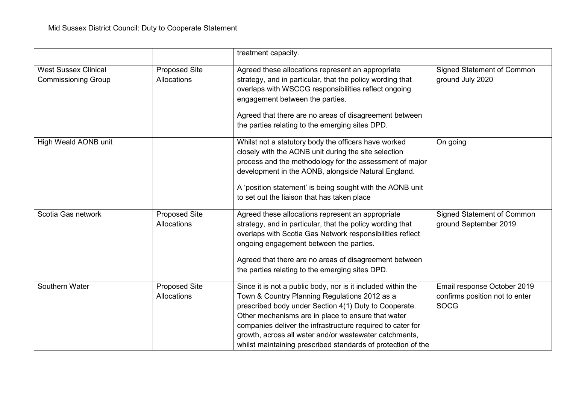|                                                           |                                            | treatment capacity.                                                                                                                                                                                                                                                                                                                                                                                                  |                                                                              |
|-----------------------------------------------------------|--------------------------------------------|----------------------------------------------------------------------------------------------------------------------------------------------------------------------------------------------------------------------------------------------------------------------------------------------------------------------------------------------------------------------------------------------------------------------|------------------------------------------------------------------------------|
| <b>West Sussex Clinical</b><br><b>Commissioning Group</b> | <b>Proposed Site</b><br><b>Allocations</b> | Agreed these allocations represent an appropriate<br>strategy, and in particular, that the policy wording that<br>overlaps with WSCCG responsibilities reflect ongoing<br>engagement between the parties.<br>Agreed that there are no areas of disagreement between<br>the parties relating to the emerging sites DPD.                                                                                               | <b>Signed Statement of Common</b><br>ground July 2020                        |
| High Weald AONB unit                                      |                                            | Whilst not a statutory body the officers have worked<br>closely with the AONB unit during the site selection<br>process and the methodology for the assessment of major<br>development in the AONB, alongside Natural England.<br>A 'position statement' is being sought with the AONB unit<br>to set out the liaison that has taken place                                                                           | On going                                                                     |
| Scotia Gas network                                        | <b>Proposed Site</b><br>Allocations        | Agreed these allocations represent an appropriate<br>strategy, and in particular, that the policy wording that<br>overlaps with Scotia Gas Network responsibilities reflect<br>ongoing engagement between the parties.<br>Agreed that there are no areas of disagreement between<br>the parties relating to the emerging sites DPD.                                                                                  | <b>Signed Statement of Common</b><br>ground September 2019                   |
| Southern Water                                            | <b>Proposed Site</b><br>Allocations        | Since it is not a public body, nor is it included within the<br>Town & Country Planning Regulations 2012 as a<br>prescribed body under Section 4(1) Duty to Cooperate.<br>Other mechanisms are in place to ensure that water<br>companies deliver the infrastructure required to cater for<br>growth, across all water and/or wastewater catchments,<br>whilst maintaining prescribed standards of protection of the | Email response October 2019<br>confirms position not to enter<br><b>SOCG</b> |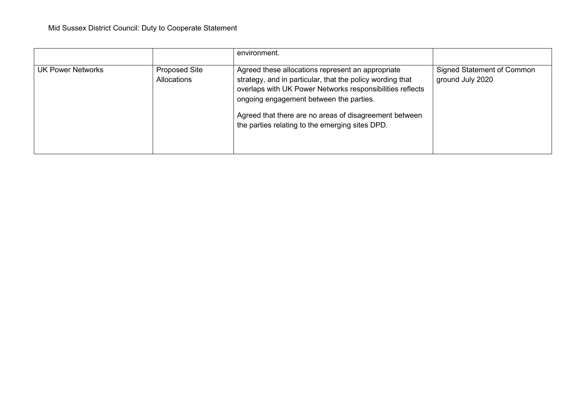|                   |                                            | environment.                                                                                                                                                                                                                                                                                                                        |                                                |
|-------------------|--------------------------------------------|-------------------------------------------------------------------------------------------------------------------------------------------------------------------------------------------------------------------------------------------------------------------------------------------------------------------------------------|------------------------------------------------|
| UK Power Networks | <b>Proposed Site</b><br><b>Allocations</b> | Agreed these allocations represent an appropriate<br>strategy, and in particular, that the policy wording that<br>overlaps with UK Power Networks responsibilities reflects<br>ongoing engagement between the parties.<br>Agreed that there are no areas of disagreement between<br>the parties relating to the emerging sites DPD. | Signed Statement of Common<br>ground July 2020 |